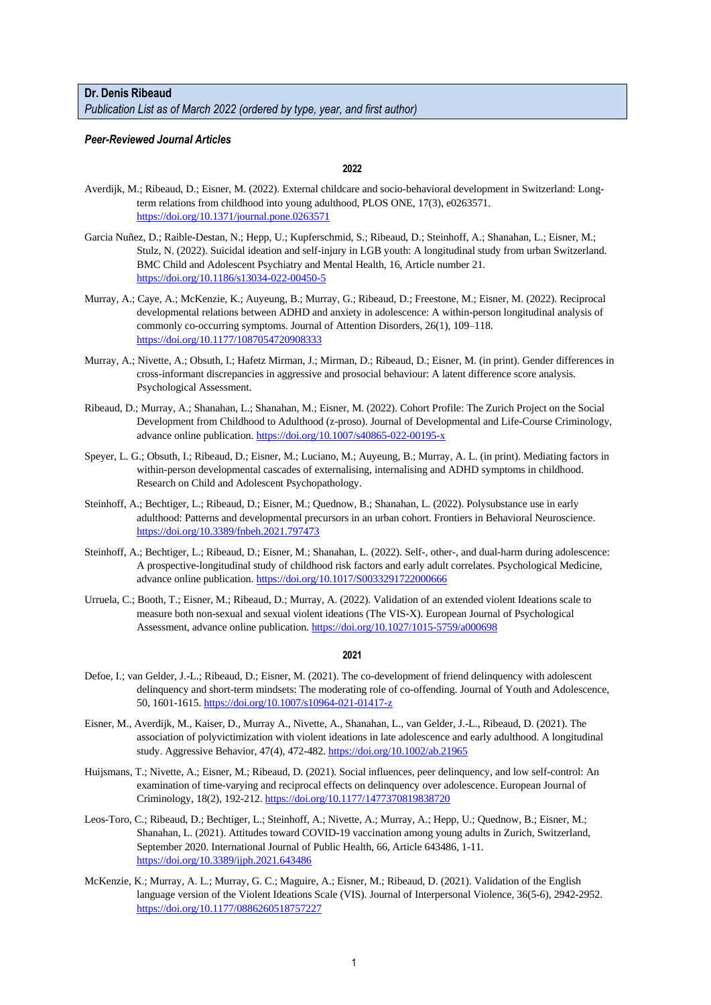# **Dr. Denis Ribeaud**

*Publication List as of March 2022 (ordered by type, year, and first author)*

## *Peer-Reviewed Journal Articles*

**2022**

- Averdijk, M.; Ribeaud, D.; Eisner, M. (2022). External childcare and socio-behavioral development in Switzerland: Longterm relations from childhood into young adulthood, PLOS ONE, 17(3), e0263571. <https://doi.org/10.1371/journal.pone.0263571>
- Garcia Nuñez, D.; Raible-Destan, N.; Hepp, U.; Kupferschmid, S.; Ribeaud, D.; Steinhoff, A.; Shanahan, L.; Eisner, M.; Stulz, N. (2022). Suicidal ideation and self-injury in LGB youth: A longitudinal study from urban Switzerland. BMC Child and Adolescent Psychiatry and Mental Health, 16, Article number 21. <https://doi.org/10.1186/s13034-022-00450-5>
- Murray, A.; Caye, A.; McKenzie, K.; Auyeung, B.; Murray, G.; Ribeaud, D.; Freestone, M.; Eisner, M. (2022). Reciprocal developmental relations between ADHD and anxiety in adolescence: A within-person longitudinal analysis of commonly co-occurring symptoms. Journal of Attention Disorders, 26(1), 109–118. <https://doi.org/10.1177/1087054720908333>
- Murray, A.; Nivette, A.; Obsuth, I.; Hafetz Mirman, J.; Mirman, D.; Ribeaud, D.; Eisner, M. (in print). Gender differences in cross-informant discrepancies in aggressive and prosocial behaviour: A latent difference score analysis. Psychological Assessment.
- Ribeaud, D.; Murray, A.; Shanahan, L.; Shanahan, M.; Eisner, M. (2022). Cohort Profile: The Zurich Project on the Social Development from Childhood to Adulthood (z-proso). Journal of Developmental and Life-Course Criminology, advance online publication[. https://doi.org/10.1007/s40865-022-00195-x](https://doi.org/10.1007/s40865-022-00195-x)
- Speyer, L. G.; Obsuth, I.; Ribeaud, D.; Eisner, M.; Luciano, M.; Auyeung, B.; Murray, A. L. (in print). Mediating factors in within-person developmental cascades of externalising, internalising and ADHD symptoms in childhood. Research on Child and Adolescent Psychopathology.
- Steinhoff, A.; Bechtiger, L.; Ribeaud, D.; Eisner, M.; Quednow, B.; Shanahan, L. (2022). Polysubstance use in early adulthood: Patterns and developmental precursors in an urban cohort. Frontiers in Behavioral Neuroscience. <https://doi.org/10.3389/fnbeh.2021.797473>
- Steinhoff, A.; Bechtiger, L.; Ribeaud, D.; Eisner, M.; Shanahan, L. (2022). Self-, other-, and dual-harm during adolescence: A prospective-longitudinal study of childhood risk factors and early adult correlates. Psychological Medicine, advance online publication[. https://doi.org/10.1017/S0033291722000666](https://doi.org/10.1017/S0033291722000666)
- Urruela, C.; Booth, T.; Eisner, M.; Ribeaud, D.; Murray, A. (2022). Validation of an extended violent Ideations scale to measure both non-sexual and sexual violent ideations (The VIS-X). European Journal of Psychological Assessment, advance online publication.<https://doi.org/10.1027/1015-5759/a000698>

- Defoe, I.; van Gelder, J.-L.; Ribeaud, D.; Eisner, M. (2021). The co-development of friend delinquency with adolescent delinquency and short-term mindsets: The moderating role of co-offending. Journal of Youth and Adolescence, 50, 1601-1615.<https://doi.org/10.1007/s10964-021-01417-z>
- Eisner, M., Averdijk, M., Kaiser, D., Murray A., Nivette, A., Shanahan, L., van Gelder, J.-L., Ribeaud, D. (2021). The association of polyvictimization with violent ideations in late adolescence and early adulthood. A longitudinal study. Aggressive Behavior, 47(4), 472-482.<https://doi.org/10.1002/ab.21965>
- Huijsmans, T.; Nivette, A.; Eisner, M.; Ribeaud, D. (2021). Social influences, peer delinquency, and low self-control: An examination of time-varying and reciprocal effects on delinquency over adolescence. European Journal of Criminology, 18(2), 192-212.<https://doi.org/10.1177/1477370819838720>
- Leos-Toro, C.; Ribeaud, D.; Bechtiger, L.; Steinhoff, A.; Nivette, A.; Murray, A.; Hepp, U.; Quednow, B.; Eisner, M.; Shanahan, L. (2021). Attitudes toward COVID-19 vaccination among young adults in Zurich, Switzerland, September 2020. International Journal of Public Health, 66, Article 643486, 1-11. <https://doi.org/10.3389/ijph.2021.643486>
- McKenzie, K.; Murray, A. L.; Murray, G. C.; Maguire, A.; Eisner, M.; Ribeaud, D. (2021). Validation of the English language version of the Violent Ideations Scale (VIS). Journal of Interpersonal Violence, 36(5-6), 2942-2952. <https://doi.org/10.1177/0886260518757227>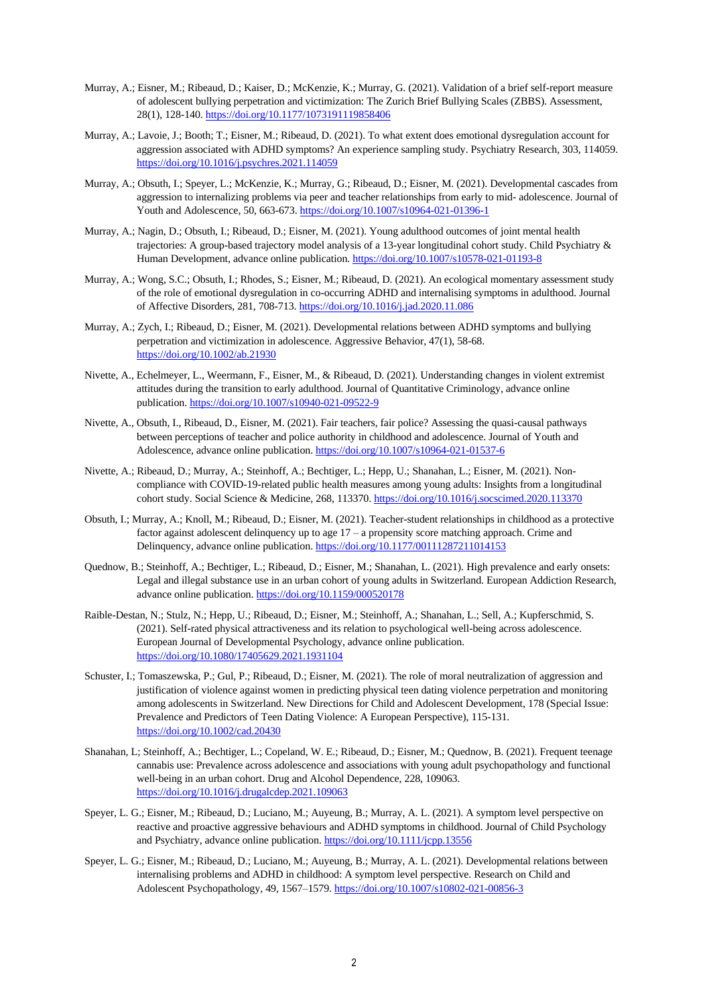- Murray, A.; Eisner, M.; Ribeaud, D.; Kaiser, D.; McKenzie, K.; Murray, G. (2021). Validation of a brief self-report measure of adolescent bullying perpetration and victimization: The Zurich Brief Bullying Scales (ZBBS). Assessment, 28(1), 128-140[. https://doi.org/10.1177/1073191119858406](https://doi.org/10.1177/1073191119858406)
- Murray, A.; Lavoie, J.; Booth; T.; Eisner, M.; Ribeaud, D. (2021). To what extent does emotional dysregulation account for aggression associated with ADHD symptoms? An experience sampling study. Psychiatry Research, 303, 114059. <https://doi.org/10.1016/j.psychres.2021.114059>
- Murray, A.; Obsuth, I.; Speyer, L.; McKenzie, K.; Murray, G.; Ribeaud, D.; Eisner, M. (2021). Developmental cascades from aggression to internalizing problems via peer and teacher relationships from early to mid- adolescence. Journal of Youth and Adolescence, 50, 663-673[. https://doi.org/10.1007/s10964-021-01396-1](https://doi.org/10.1007/s10964-021-01396-1)
- Murray, A.; Nagin, D.; Obsuth, I.; Ribeaud, D.; Eisner, M. (2021). Young adulthood outcomes of joint mental health trajectories: A group-based trajectory model analysis of a 13-year longitudinal cohort study. Child Psychiatry & Human Development, advance online publication[. https://doi.org/10.1007/s10578-021-01193-8](https://doi.org/10.1007/s10578-021-01193-8)
- Murray, A.; Wong, S.C.; Obsuth, I.; Rhodes, S.; Eisner, M.; Ribeaud, D. (2021). An ecological momentary assessment study of the role of emotional dysregulation in co-occurring ADHD and internalising symptoms in adulthood. Journal of Affective Disorders, 281, 708-713[. https://doi.org/10.1016/j.jad.2020.11.086](https://doi.org/10.1016/j.jad.2020.11.086)
- Murray, A.; Zych, I.; Ribeaud, D.; Eisner, M. (2021). Developmental relations between ADHD symptoms and bullying perpetration and victimization in adolescence. Aggressive Behavior, 47(1), 58-68. <https://doi.org/10.1002/ab.21930>
- Nivette, A., Echelmeyer, L., Weermann, F., Eisner, M., & Ribeaud, D. (2021). Understanding changes in violent extremist attitudes during the transition to early adulthood. Journal of Quantitative Criminology, advance online publication.<https://doi.org/10.1007/s10940-021-09522-9>
- Nivette, A., Obsuth, I., Ribeaud, D., Eisner, M. (2021). Fair teachers, fair police? Assessing the quasi-causal pathways between perceptions of teacher and police authority in childhood and adolescence. Journal of Youth and Adolescence, advance online publication[. https://doi.org/10.1007/s10964-021-01537-6](https://doi.org/10.1007/s10964-021-01537-6)
- Nivette, A.; Ribeaud, D.; Murray, A.; Steinhoff, A.; Bechtiger, L.; Hepp, U.; Shanahan, L.; Eisner, M. (2021). Noncompliance with COVID-19-related public health measures among young adults: Insights from a longitudinal cohort study. Social Science & Medicine, 268, 113370[. https://doi.org/10.1016/j.socscimed.2020.113370](https://doi.org/10.1016/j.socscimed.2020.113370)
- Obsuth, I.; Murray, A.; Knoll, M.; Ribeaud, D.; Eisner, M. (2021). Teacher-student relationships in childhood as a protective factor against adolescent delinquency up to age 17 – a propensity score matching approach. Crime and Delinquency, advance online publication[. https://doi.org/10.1177/00111287211014153](https://doi.org/10.1177/00111287211014153)
- Quednow, B.; Steinhoff, A.; Bechtiger, L.; Ribeaud, D.; Eisner, M.; Shanahan, L. (2021). High prevalence and early onsets: Legal and illegal substance use in an urban cohort of young adults in Switzerland. European Addiction Research, advance online publication[. https://doi.org/10.1159/000520178](https://doi.org/10.1159/000520178)
- Raible-Destan, N.; Stulz, N.; Hepp, U.; Ribeaud, D.; Eisner, M.; Steinhoff, A.; Shanahan, L.; Sell, A.; Kupferschmid, S. (2021). Self-rated physical attractiveness and its relation to psychological well-being across adolescence. European Journal of Developmental Psychology, advance online publication. <https://doi.org/10.1080/17405629.2021.1931104>
- Schuster, I.; Tomaszewska, P.; Gul, P.; Ribeaud, D.; Eisner, M. (2021). The role of moral neutralization of aggression and justification of violence against women in predicting physical teen dating violence perpetration and monitoring among adolescents in Switzerland. New Directions for Child and Adolescent Development, 178 (Special Issue: Prevalence and Predictors of Teen Dating Violence: A European Perspective), 115-131. <https://doi.org/10.1002/cad.20430>
- Shanahan, L; Steinhoff, A.; Bechtiger, L.; Copeland, W. E.; Ribeaud, D.; Eisner, M.; Quednow, B. (2021). Frequent teenage cannabis use: Prevalence across adolescence and associations with young adult psychopathology and functional well-being in an urban cohort. Drug and Alcohol Dependence, 228, 109063. <https://doi.org/10.1016/j.drugalcdep.2021.109063>
- Speyer, L. G.; Eisner, M.; Ribeaud, D.; Luciano, M.; Auyeung, B.; Murray, A. L. (2021). A symptom level perspective on reactive and proactive aggressive behaviours and ADHD symptoms in childhood. Journal of Child Psychology and Psychiatry, advance online publication[. https://doi.org/10.1111/jcpp.13556](https://doi.org/10.1111/jcpp.13556)
- Speyer, L. G.; Eisner, M.; Ribeaud, D.; Luciano, M.; Auyeung, B.; Murray, A. L. (2021). Developmental relations between internalising problems and ADHD in childhood: A symptom level perspective. Research on Child and Adolescent Psychopathology, 49, 1567–1579.<https://doi.org/10.1007/s10802-021-00856-3>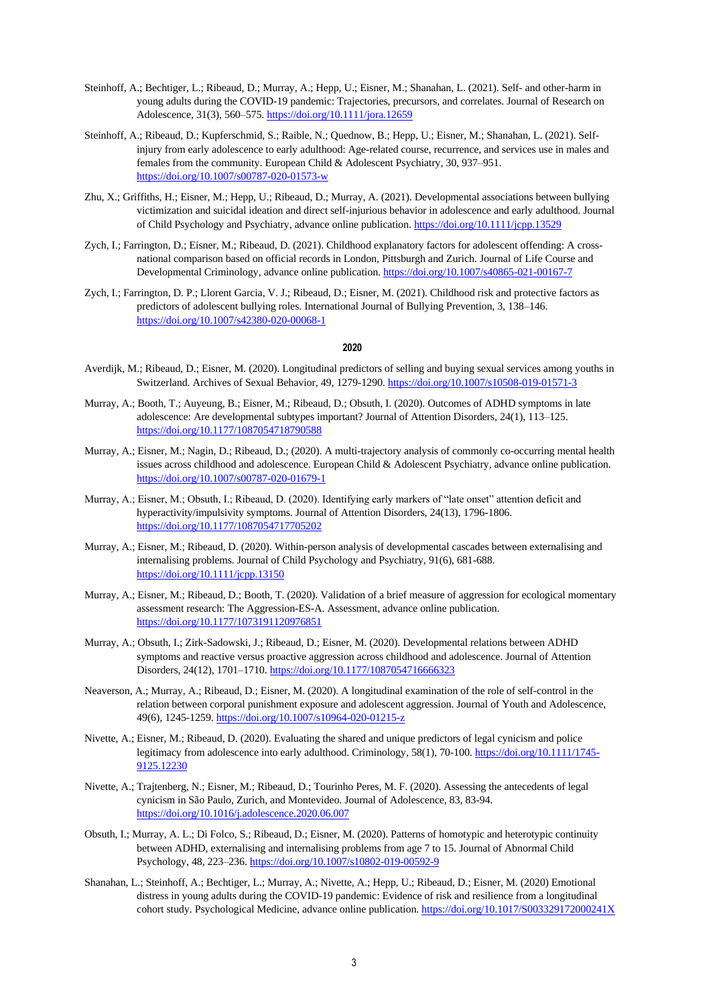- Steinhoff, A.; Bechtiger, L.; Ribeaud, D.; Murray, A.; Hepp, U.; Eisner, M.; Shanahan, L. (2021). Self- and other-harm in young adults during the COVID-19 pandemic: Trajectories, precursors, and correlates. Journal of Research on Adolescence, 31(3), 560–575[. https://doi.org/10.1111/jora.12659](https://doi.org/10.1111/jora.12659)
- Steinhoff, A.; Ribeaud, D.; Kupferschmid, S.; Raible, N.; Quednow, B.; Hepp, U.; Eisner, M.; Shanahan, L. (2021). Selfinjury from early adolescence to early adulthood: Age-related course, recurrence, and services use in males and females from the community. European Child & Adolescent Psychiatry, 30, 937–951. <https://doi.org/10.1007/s00787-020-01573-w>
- Zhu, X.; Griffiths, H.; Eisner, M.; Hepp, U.; Ribeaud, D.; Murray, A. (2021). Developmental associations between bullying victimization and suicidal ideation and direct self-injurious behavior in adolescence and early adulthood. Journal of Child Psychology and Psychiatry, advance online publication.<https://doi.org/10.1111/jcpp.13529>
- Zych, I.; Farrington, D.; Eisner, M.; Ribeaud, D. (2021). Childhood explanatory factors for adolescent offending: A crossnational comparison based on official records in London, Pittsburgh and Zurich. Journal of Life Course and Developmental Criminology, advance online publication.<https://doi.org/10.1007/s40865-021-00167-7>
- Zych, I.; Farrington, D. P.; Llorent Garcia, V. J.; Ribeaud, D.; Eisner, M. (2021). Childhood risk and protective factors as predictors of adolescent bullying roles. International Journal of Bullying Prevention, 3, 138–146. <https://doi.org/10.1007/s42380-020-00068-1>

- Averdijk, M.; Ribeaud, D.; Eisner, M. (2020). Longitudinal predictors of selling and buying sexual services among youths in Switzerland. Archives of Sexual Behavior, 49, 1279-1290.<https://doi.org/10.1007/s10508-019-01571-3>
- Murray, A.; Booth, T.; Auyeung, B.; Eisner, M.; Ribeaud, D.; Obsuth, I. (2020). Outcomes of ADHD symptoms in late adolescence: Are developmental subtypes important? Journal of Attention Disorders, 24(1), 113–125. <https://doi.org/10.1177/1087054718790588>
- Murray, A.; Eisner, M.; Nagin, D.; Ribeaud, D.; (2020). A multi-trajectory analysis of commonly co-occurring mental health issues across childhood and adolescence. European Child & Adolescent Psychiatry, advance online publication. <https://doi.org/10.1007/s00787-020-01679-1>
- Murray, A.; Eisner, M.; Obsuth, I.; Ribeaud, D. (2020). Identifying early markers of "late onset" attention deficit and hyperactivity/impulsivity symptoms. Journal of Attention Disorders, 24(13), 1796-1806. <https://doi.org/10.1177/1087054717705202>
- Murray, A.; Eisner, M.; Ribeaud, D. (2020). Within-person analysis of developmental cascades between externalising and internalising problems. Journal of Child Psychology and Psychiatry, 91(6), 681-688. <https://doi.org/10.1111/jcpp.13150>
- Murray, A.; Eisner, M.; Ribeaud, D.; Booth, T. (2020). Validation of a brief measure of aggression for ecological momentary assessment research: The Aggression-ES-A. Assessment, advance online publication. <https://doi.org/10.1177/1073191120976851>
- Murray, A.; Obsuth, I.; Zirk-Sadowski, J.; Ribeaud, D.; Eisner, M. (2020). Developmental relations between ADHD symptoms and reactive versus proactive aggression across childhood and adolescence. Journal of Attention Disorders, 24(12), 1701–1710.<https://doi.org/10.1177/1087054716666323>
- Neaverson, A.; Murray, A.; Ribeaud, D.; Eisner, M. (2020). A longitudinal examination of the role of self-control in the relation between corporal punishment exposure and adolescent aggression. Journal of Youth and Adolescence, 49(6), 1245-1259[. https://doi.org/10.1007/s10964-020-01215-z](https://doi.org/10.1007/s10964-020-01215-z)
- Nivette, A.; Eisner, M.; Ribeaud, D. (2020). Evaluating the shared and unique predictors of legal cynicism and police legitimacy from adolescence into early adulthood. Criminology, 58(1), 70-100. [https://doi.org/10.1111/1745-](https://doi.org/10.1111/1745-9125.12230) [9125.12230](https://doi.org/10.1111/1745-9125.12230)
- Nivette, A.; Trajtenberg, N.; Eisner, M.; Ribeaud, D.; Tourinho Peres, M. F. (2020). Assessing the antecedents of legal cynicism in São Paulo, Zurich, and Montevideo. Journal of Adolescence, 83, 83-94. <https://doi.org/10.1016/j.adolescence.2020.06.007>
- Obsuth, I.; Murray, A. L.; Di Folco, S.; Ribeaud, D.; Eisner, M. (2020). Patterns of homotypic and heterotypic continuity between ADHD, externalising and internalising problems from age 7 to 15. Journal of Abnormal Child Psychology, 48, 223–236[. https://doi.org/10.1007/s10802-019-00592-9](https://doi.org/10.1007/s10802-019-00592-9)
- Shanahan, L.; Steinhoff, A.; Bechtiger, L.; Murray, A.; Nivette, A.; Hepp, U.; Ribeaud, D.; Eisner, M. (2020) Emotional distress in young adults during the COVID-19 pandemic: Evidence of risk and resilience from a longitudinal cohort study. Psychological Medicine, advance online publication[. https://doi.org/10.1017/S003329172000241X](https://doi.org/10.1017/S003329172000241X)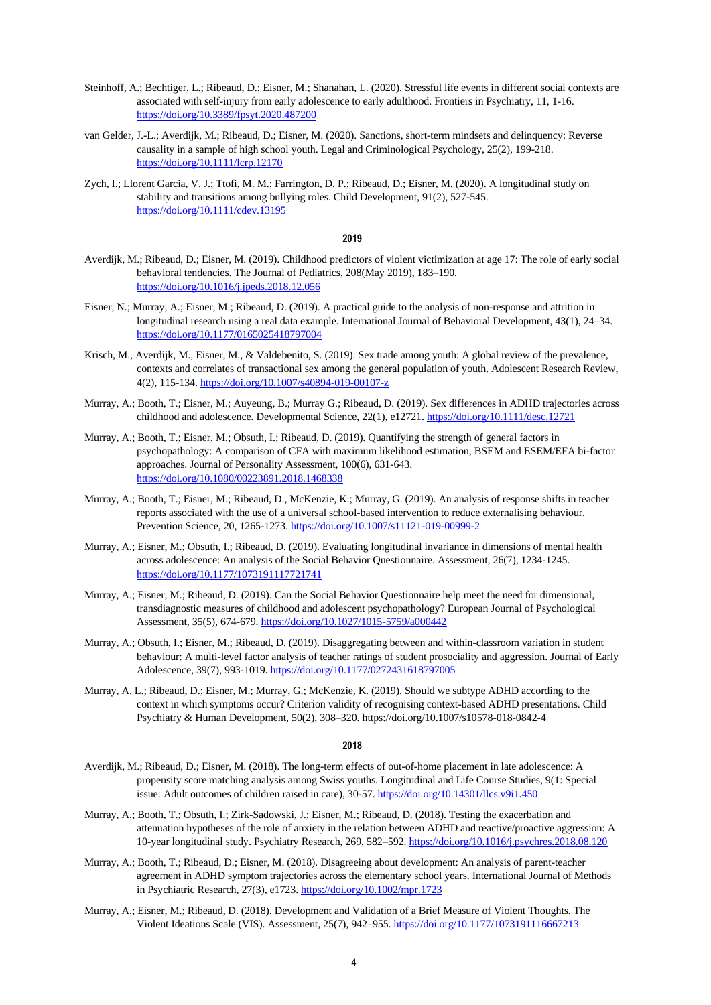- Steinhoff, A.; Bechtiger, L.; Ribeaud, D.; Eisner, M.; Shanahan, L. (2020). Stressful life events in different social contexts are associated with self-injury from early adolescence to early adulthood. Frontiers in Psychiatry, 11, 1-16. <https://doi.org/10.3389/fpsyt.2020.487200>
- van Gelder, J.-L.; Averdijk, M.; Ribeaud, D.; Eisner, M. (2020). Sanctions, short-term mindsets and delinquency: Reverse causality in a sample of high school youth. Legal and Criminological Psychology, 25(2), 199-218. <https://doi.org/10.1111/lcrp.12170>
- Zych, I.; Llorent Garcia, V. J.; Ttofi, M. M.; Farrington, D. P.; Ribeaud, D.; Eisner, M. (2020). A longitudinal study on stability and transitions among bullying roles. Child Development, 91(2), 527-545. <https://doi.org/10.1111/cdev.13195>

#### **2019**

- Averdijk, M.; Ribeaud, D.; Eisner, M. (2019). Childhood predictors of violent victimization at age 17: The role of early social behavioral tendencies. The Journal of Pediatrics, 208(May 2019), 183–190. <https://doi.org/10.1016/j.jpeds.2018.12.056>
- Eisner, N.; Murray, A.; Eisner, M.; Ribeaud, D. (2019). A practical guide to the analysis of non-response and attrition in longitudinal research using a real data example. International Journal of Behavioral Development, 43(1), 24–34. <https://doi.org/10.1177/0165025418797004>
- Krisch, M., Averdijk, M., Eisner, M., & Valdebenito, S. (2019). Sex trade among youth: A global review of the prevalence, contexts and correlates of transactional sex among the general population of youth. Adolescent Research Review, 4(2), 115-134.<https://doi.org/10.1007/s40894-019-00107-z>
- Murray, A.; Booth, T.; Eisner, M.; Auyeung, B.; Murray G.; Ribeaud, D. (2019). Sex differences in ADHD trajectories across childhood and adolescence. Developmental Science, 22(1), e12721[. https://doi.org/10.1111/desc.12721](https://doi.org/10.1111/desc.12721)
- Murray, A.; Booth, T.; Eisner, M.; Obsuth, I.; Ribeaud, D. (2019). Quantifying the strength of general factors in psychopathology: A comparison of CFA with maximum likelihood estimation, BSEM and ESEM/EFA bi-factor approaches. Journal of Personality Assessment, 100(6), 631-643. <https://doi.org/10.1080/00223891.2018.1468338>
- Murray, A.; Booth, T.; Eisner, M.; Ribeaud, D., McKenzie, K.; Murray, G. (2019). An analysis of response shifts in teacher reports associated with the use of a universal school-based intervention to reduce externalising behaviour. Prevention Science, 20, 1265-1273[. https://doi.org/10.1007/s11121-019-00999-2](https://doi.org/10.1007/s11121-019-00999-2)
- Murray, A.; Eisner, M.; Obsuth, I.; Ribeaud, D. (2019). Evaluating longitudinal invariance in dimensions of mental health across adolescence: An analysis of the Social Behavior Questionnaire. Assessment, 26(7), 1234-1245. <https://doi.org/10.1177/1073191117721741>
- Murray, A.; Eisner, M.; Ribeaud, D. (2019). Can the Social Behavior Questionnaire help meet the need for dimensional, transdiagnostic measures of childhood and adolescent psychopathology? European Journal of Psychological Assessment, 35(5), 674-679[. https://doi.org/10.1027/1015-5759/a000442](https://doi.org/10.1027/1015-5759/a000442)
- Murray, A.; Obsuth, I.; Eisner, M.; Ribeaud, D. (2019). Disaggregating between and within-classroom variation in student behaviour: A multi-level factor analysis of teacher ratings of student prosociality and aggression. Journal of Early Adolescence, 39(7), 993-1019[. https://doi.org/10.1177/0272431618797005](https://doi.org/10.1177/0272431618797005)
- Murray, A. L.; Ribeaud, D.; Eisner, M.; Murray, G.; McKenzie, K. (2019). Should we subtype ADHD according to the context in which symptoms occur? Criterion validity of recognising context-based ADHD presentations. Child Psychiatry & Human Development, 50(2), 308–320. https://doi.org/10.1007/s10578-018-0842-4

- Averdijk, M.; Ribeaud, D.; Eisner, M. (2018). The long-term effects of out-of-home placement in late adolescence: A propensity score matching analysis among Swiss youths. Longitudinal and Life Course Studies, 9(1: Special issue: Adult outcomes of children raised in care), 30-57[. https://doi.org/10.14301/llcs.v9i1.450](https://doi.org/10.14301/llcs.v9i1.450)
- Murray, A.; Booth, T.; Obsuth, I.; Zirk-Sadowski, J.; Eisner, M.; Ribeaud, D. (2018). Testing the exacerbation and attenuation hypotheses of the role of anxiety in the relation between ADHD and reactive/proactive aggression: A 10-year longitudinal study. Psychiatry Research, 269, 582–592[. https://doi.org/10.1016/j.psychres.2018.08.120](https://doi.org/10.1016/j.psychres.2018.08.120)
- Murray, A.; Booth, T.; Ribeaud, D.; Eisner, M. (2018). Disagreeing about development: An analysis of parent-teacher agreement in ADHD symptom trajectories across the elementary school years. International Journal of Methods in Psychiatric Research, 27(3), e1723.<https://doi.org/10.1002/mpr.1723>
- Murray, A.; Eisner, M.; Ribeaud, D. (2018). Development and Validation of a Brief Measure of Violent Thoughts. The Violent Ideations Scale (VIS). Assessment, 25(7), 942–955.<https://doi.org/10.1177/1073191116667213>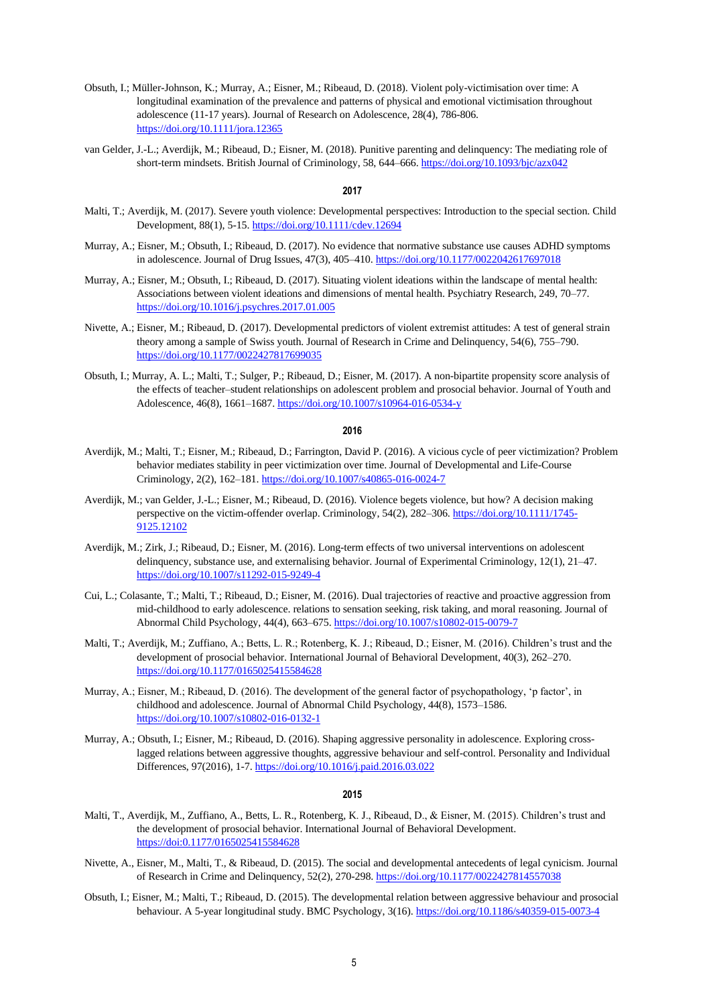- Obsuth, I.; Müller-Johnson, K.; Murray, A.; Eisner, M.; Ribeaud, D. (2018). Violent poly-victimisation over time: A longitudinal examination of the prevalence and patterns of physical and emotional victimisation throughout adolescence (11-17 years). Journal of Research on Adolescence, 28(4), 786-806. <https://doi.org/10.1111/jora.12365>
- van Gelder, J.-L.; Averdijk, M.; Ribeaud, D.; Eisner, M. (2018). Punitive parenting and delinquency: The mediating role of short-term mindsets. British Journal of Criminology, 58, 644–666.<https://doi.org/10.1093/bjc/azx042>

#### **2017**

- Malti, T.; Averdijk, M. (2017). Severe youth violence: Developmental perspectives: Introduction to the special section. Child Development, 88(1), 5-15[. https://doi.org/10.1111/cdev.12694](https://doi.org/10.1111/cdev.12694)
- Murray, A.; Eisner, M.; Obsuth, I.; Ribeaud, D. (2017). No evidence that normative substance use causes ADHD symptoms in adolescence. Journal of Drug Issues, 47(3), 405–410.<https://doi.org/10.1177/0022042617697018>
- Murray, A.; Eisner, M.; Obsuth, I.; Ribeaud, D. (2017). Situating violent ideations within the landscape of mental health: Associations between violent ideations and dimensions of mental health. Psychiatry Research, 249, 70–77. <https://doi.org/10.1016/j.psychres.2017.01.005>
- Nivette, A.; Eisner, M.; Ribeaud, D. (2017). Developmental predictors of violent extremist attitudes: A test of general strain theory among a sample of Swiss youth. Journal of Research in Crime and Delinquency, 54(6), 755–790. <https://doi.org/10.1177/0022427817699035>
- Obsuth, I.; Murray, A. L.; Malti, T.; Sulger, P.; Ribeaud, D.; Eisner, M. (2017). A non-bipartite propensity score analysis of the effects of teacher–student relationships on adolescent problem and prosocial behavior. Journal of Youth and Adolescence, 46(8), 1661–1687[. https://doi.org/10.1007/s10964-016-0534-y](https://doi.org/10.1007/s10964-016-0534-y)

#### **2016**

- Averdijk, M.; Malti, T.; Eisner, M.; Ribeaud, D.; Farrington, David P. (2016). A vicious cycle of peer victimization? Problem behavior mediates stability in peer victimization over time. Journal of Developmental and Life-Course Criminology, 2(2), 162–181[. https://doi.org/10.1007/s40865-016-0024-7](https://doi.org/10.1007/s40865-016-0024-7)
- Averdijk, M.; van Gelder, J.-L.; Eisner, M.; Ribeaud, D. (2016). Violence begets violence, but how? A decision making perspective on the victim-offender overlap. Criminology, 54(2), 282–306[. https://doi.org/10.1111/1745-](https://doi.org/10.1111/1745-9125.12102) [9125.12102](https://doi.org/10.1111/1745-9125.12102)
- Averdijk, M.; Zirk, J.; Ribeaud, D.; Eisner, M. (2016). Long-term effects of two universal interventions on adolescent delinquency, substance use, and externalising behavior. Journal of Experimental Criminology, 12(1), 21–47. <https://doi.org/10.1007/s11292-015-9249-4>
- Cui, L.; Colasante, T.; Malti, T.; Ribeaud, D.; Eisner, M. (2016). Dual trajectories of reactive and proactive aggression from mid-childhood to early adolescence. relations to sensation seeking, risk taking, and moral reasoning. Journal of Abnormal Child Psychology, 44(4), 663–675.<https://doi.org/10.1007/s10802-015-0079-7>
- Malti, T.; Averdijk, M.; Zuffiano, A.; Betts, L. R.; Rotenberg, K. J.; Ribeaud, D.; Eisner, M. (2016). Children's trust and the development of prosocial behavior. International Journal of Behavioral Development, 40(3), 262–270. <https://doi.org/10.1177/0165025415584628>
- Murray, A.; Eisner, M.; Ribeaud, D. (2016). The development of the general factor of psychopathology, 'p factor', in childhood and adolescence. Journal of Abnormal Child Psychology, 44(8), 1573–1586. <https://doi.org/10.1007/s10802-016-0132-1>
- Murray, A.; Obsuth, I.; Eisner, M.; Ribeaud, D. (2016). Shaping aggressive personality in adolescence. Exploring crosslagged relations between aggressive thoughts, aggressive behaviour and self-control. Personality and Individual Differences, 97(2016), 1-7[. https://doi.org/10.1016/j.paid.2016.03.022](https://doi.org/10.1016/j.paid.2016.03.022)

- Malti, T., Averdijk, M., Zuffiano, A., Betts, L. R., Rotenberg, K. J., Ribeaud, D., & Eisner, M. (2015). Children's trust and the development of prosocial behavior. International Journal of Behavioral Development. <https://doi:0.1177/0165025415584628>
- Nivette, A., Eisner, M., Malti, T., & Ribeaud, D. (2015). The social and developmental antecedents of legal cynicism. Journal of Research in Crime and Delinquency, 52(2), 270-298.<https://doi.org/10.1177/0022427814557038>
- Obsuth, I.; Eisner, M.; Malti, T.; Ribeaud, D. (2015). The developmental relation between aggressive behaviour and prosocial behaviour. A 5-year longitudinal study. BMC Psychology, 3(16)[. https://doi.org/10.1186/s40359-015-0073-4](https://doi.org/10.1186/s40359-015-0073-4)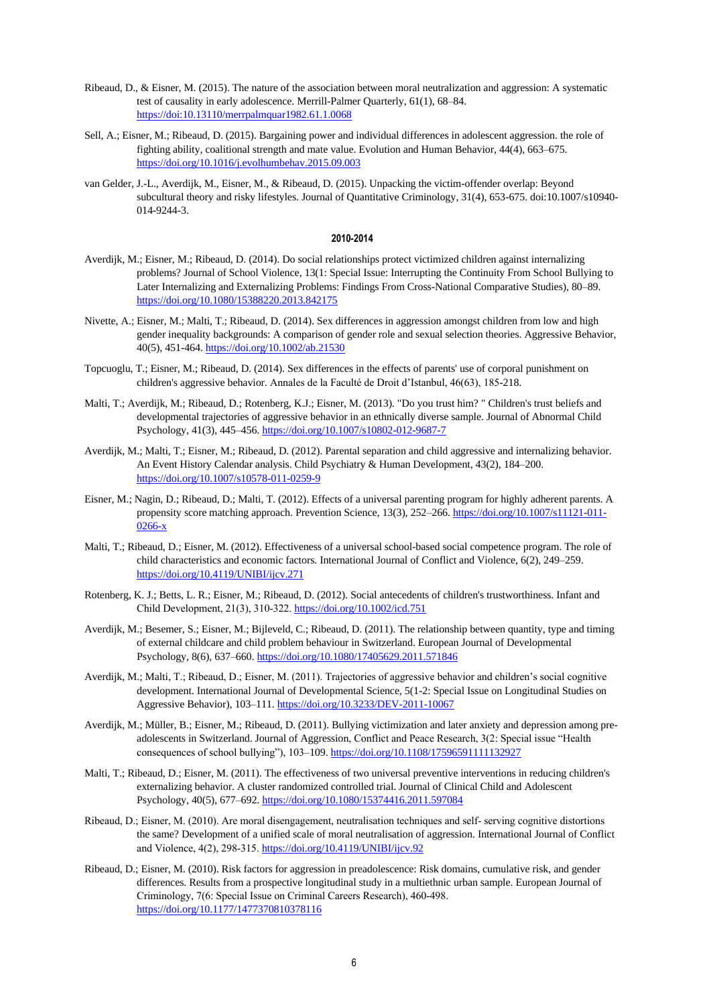- Ribeaud, D., & Eisner, M. (2015). The nature of the association between moral neutralization and aggression: A systematic test of causality in early adolescence. Merrill-Palmer Quarterly, 61(1), 68–84. <https://doi:10.13110/merrpalmquar1982.61.1.0068>
- Sell, A.; Eisner, M.; Ribeaud, D. (2015). Bargaining power and individual differences in adolescent aggression. the role of fighting ability, coalitional strength and mate value. Evolution and Human Behavior, 44(4), 663–675. <https://doi.org/10.1016/j.evolhumbehav.2015.09.003>
- van Gelder, J.-L., Averdijk, M., Eisner, M., & Ribeaud, D. (2015). Unpacking the victim-offender overlap: Beyond subcultural theory and risky lifestyles. Journal of Quantitative Criminology, 31(4), 653-675. doi:10.1007/s10940- 014-9244-3.

#### **2010-2014**

- Averdijk, M.; Eisner, M.; Ribeaud, D. (2014). Do social relationships protect victimized children against internalizing problems? Journal of School Violence, 13(1: Special Issue: Interrupting the Continuity From School Bullying to Later Internalizing and Externalizing Problems: Findings From Cross-National Comparative Studies), 80–89. <https://doi.org/10.1080/15388220.2013.842175>
- Nivette, A.; Eisner, M.; Malti, T.; Ribeaud, D. (2014). Sex differences in aggression amongst children from low and high gender inequality backgrounds: A comparison of gender role and sexual selection theories. Aggressive Behavior, 40(5), 451-464[. https://doi.org/10.1002/ab.21530](https://doi.org/10.1002/ab.21530)
- Topcuoglu, T.; Eisner, M.; Ribeaud, D. (2014). Sex differences in the effects of parents' use of corporal punishment on children's aggressive behavior. Annales de la Faculté de Droit d'Istanbul, 46(63), 185-218.
- Malti, T.; Averdijk, M.; Ribeaud, D.; Rotenberg, K.J.; Eisner, M. (2013). "Do you trust him? " Children's trust beliefs and developmental trajectories of aggressive behavior in an ethnically diverse sample. Journal of Abnormal Child Psychology, 41(3), 445–456.<https://doi.org/10.1007/s10802-012-9687-7>
- Averdijk, M.; Malti, T.; Eisner, M.; Ribeaud, D. (2012). Parental separation and child aggressive and internalizing behavior. An Event History Calendar analysis. Child Psychiatry & Human Development, 43(2), 184–200. <https://doi.org/10.1007/s10578-011-0259-9>
- Eisner, M.; Nagin, D.; Ribeaud, D.; Malti, T. (2012). Effects of a universal parenting program for highly adherent parents. A propensity score matching approach. Prevention Science, 13(3), 252–266[. https://doi.org/10.1007/s11121-011-](https://doi.org/10.1007/s11121-011-0266-x) [0266-x](https://doi.org/10.1007/s11121-011-0266-x)
- Malti, T.; Ribeaud, D.; Eisner, M. (2012). Effectiveness of a universal school-based social competence program. The role of child characteristics and economic factors. International Journal of Conflict and Violence, 6(2), 249–259. <https://doi.org/10.4119/UNIBI/ijcv.271>
- Rotenberg, K. J.; Betts, L. R.; Eisner, M.; Ribeaud, D. (2012). Social antecedents of children's trustworthiness. Infant and Child Development, 21(3), 310‐322[. https://doi.org/10.1002/icd.751](https://doi.org/10.1002/icd.751)
- Averdijk, M.; Besemer, S.; Eisner, M.; Bijleveld, C.; Ribeaud, D. (2011). The relationship between quantity, type and timing of external childcare and child problem behaviour in Switzerland. European Journal of Developmental Psychology, 8(6), 637–660[. https://doi.org/10.1080/17405629.2011.571846](https://doi.org/10.1080/17405629.2011.571846)
- Averdijk, M.; Malti, T.; Ribeaud, D.; Eisner, M. (2011). Trajectories of aggressive behavior and children's social cognitive development. International Journal of Developmental Science, 5(1-2: Special Issue on Longitudinal Studies on Aggressive Behavior), 103–111[. https://doi.org/10.3233/DEV-2011-10067](https://doi.org/10.3233/DEV-2011-10067)
- Averdijk, M.; Müller, B.; Eisner, M.; Ribeaud, D. (2011). Bullying victimization and later anxiety and depression among preadolescents in Switzerland. Journal of Aggression, Conflict and Peace Research, 3(2: Special issue "Health consequences of school bullying"), 103–109.<https://doi.org/10.1108/17596591111132927>
- Malti, T.; Ribeaud, D.; Eisner, M. (2011). The effectiveness of two universal preventive interventions in reducing children's externalizing behavior. A cluster randomized controlled trial. Journal of Clinical Child and Adolescent Psychology, 40(5), 677–692.<https://doi.org/10.1080/15374416.2011.597084>
- Ribeaud, D.; Eisner, M. (2010). Are moral disengagement, neutralisation techniques and self‐ serving cognitive distortions the same? Development of a unified scale of moral neutralisation of aggression. International Journal of Conflict and Violence, 4(2), 298‐315[. https://doi.org/10.4119/UNIBI/ijcv.92](https://doi.org/10.4119/UNIBI/ijcv.92)
- Ribeaud, D.; Eisner, M. (2010). Risk factors for aggression in preadolescence: Risk domains, cumulative risk, and gender differences. Results from a prospective longitudinal study in a multiethnic urban sample. European Journal of Criminology, 7(6: Special Issue on Criminal Careers Research), 460‐498. <https://doi.org/10.1177/1477370810378116>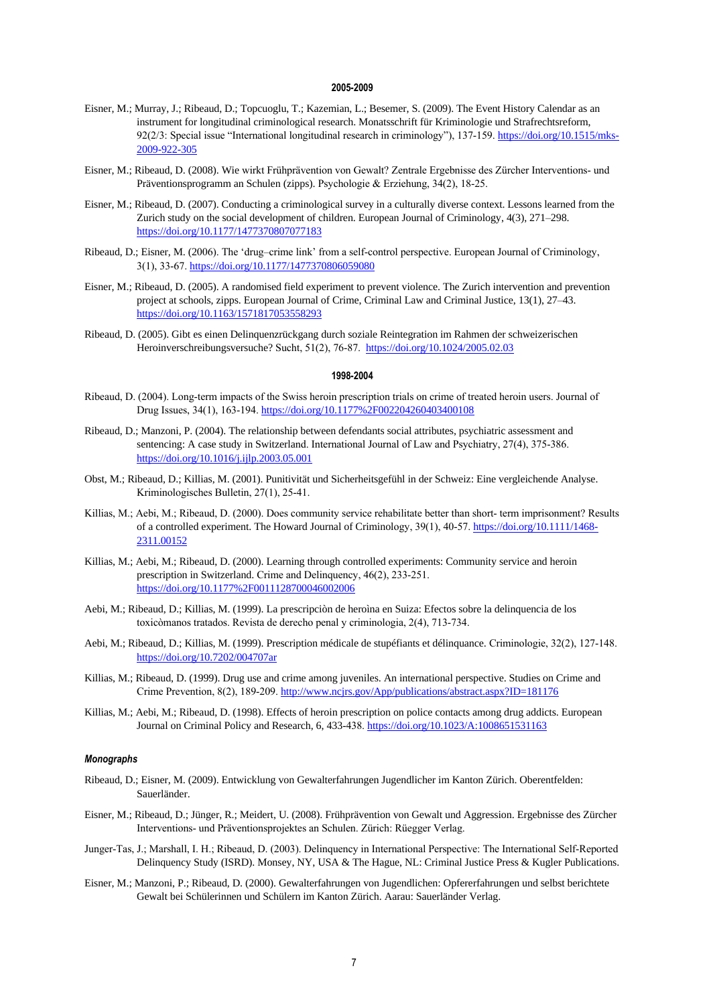## **2005-2009**

- Eisner, M.; Murray, J.; Ribeaud, D.; Topcuoglu, T.; Kazemian, L.; Besemer, S. (2009). The Event History Calendar as an instrument for longitudinal criminological research. Monatsschrift für Kriminologie und Strafrechtsreform, 92(2/3: Special issue "International longitudinal research in criminology"), 137-159. [https://doi.org/10.1515/mks-](https://doi.org/10.1515/mks-2009-922-305)[2009-922-305](https://doi.org/10.1515/mks-2009-922-305)
- Eisner, M.; Ribeaud, D. (2008). Wie wirkt Frühprävention von Gewalt? Zentrale Ergebnisse des Zürcher Interventions‐ und Präventionsprogramm an Schulen (zipps). Psychologie & Erziehung, 34(2), 18‐25.
- Eisner, M.; Ribeaud, D. (2007). Conducting a criminological survey in a culturally diverse context. Lessons learned from the Zurich study on the social development of children. European Journal of Criminology, 4(3), 271–298. <https://doi.org/10.1177/1477370807077183>
- Ribeaud, D.; Eisner, M. (2006). The 'drug-crime link' from a self-control perspective. European Journal of Criminology, 3(1), 33‐67.<https://doi.org/10.1177/1477370806059080>
- Eisner, M.; Ribeaud, D. (2005). A randomised field experiment to prevent violence. The Zurich intervention and prevention project at schools, zipps. European Journal of Crime, Criminal Law and Criminal Justice, 13(1), 27–43. <https://doi.org/10.1163/1571817053558293>
- Ribeaud, D. (2005). Gibt es einen Delinquenzrückgang durch soziale Reintegration im Rahmen der schweizerischen Heroinverschreibungsversuche? Sucht, 51(2), 76‐87.<https://doi.org/10.1024/2005.02.03>

## **1998-2004**

- Ribeaud, D. (2004). Long-term impacts of the Swiss heroin prescription trials on crime of treated heroin users. Journal of Drug Issues, 34(1), 163‐194.<https://doi.org/10.1177%2F002204260403400108>
- Ribeaud, D.; Manzoni, P. (2004). The relationship between defendants social attributes, psychiatric assessment and sentencing: A case study in Switzerland. International Journal of Law and Psychiatry, 27(4), 375-386. <https://doi.org/10.1016/j.ijlp.2003.05.001>
- Obst, M.; Ribeaud, D.; Killias, M. (2001). Punitivität und Sicherheitsgefühl in der Schweiz: Eine vergleichende Analyse. Kriminologisches Bulletin, 27(1), 25‐41.
- Killias, M.; Aebi, M.; Ribeaud, D. (2000). Does community service rehabilitate better than short‐ term imprisonment? Results of a controlled experiment. The Howard Journal of Criminology, 39(1), 40-57[. https://doi.org/10.1111/1468-](https://doi.org/10.1111/1468-2311.00152) [2311.00152](https://doi.org/10.1111/1468-2311.00152)
- Killias, M.; Aebi, M.; Ribeaud, D. (2000). Learning through controlled experiments: Community service and heroin prescription in Switzerland. Crime and Delinquency, 46(2), 233‐251. <https://doi.org/10.1177%2F0011128700046002006>
- Aebi, M.; Ribeaud, D.; Killias, M. (1999). La prescripciòn de heroìna en Suiza: Efectos sobre la delinquencia de los toxicòmanos tratados. Revista de derecho penal y criminologia, 2(4), 713‐734.
- Aebi, M.; Ribeaud, D.; Killias, M. (1999). Prescription médicale de stupéfiants et délinquance. Criminologie, 32(2), 127‐148. <https://doi.org/10.7202/004707ar>
- Killias, M.; Ribeaud, D. (1999). Drug use and crime among juveniles. An international perspective. Studies on Crime and Crime Prevention, 8(2), 189‐209[. http://www.ncjrs.gov/App/publications/abstract.aspx?ID=181176](http://www.ncjrs.gov/App/publications/abstract.aspx?ID=181176)
- Killias, M.; Aebi, M.; Ribeaud, D. (1998). Effects of heroin prescription on police contacts among drug addicts. European Journal on Criminal Policy and Research, 6, 433‐438[. https://doi.org/10.1023/A:1008651531163](https://doi.org/10.1023/A:1008651531163)

#### *Monographs*

- Ribeaud, D.; Eisner, M. (2009). Entwicklung von Gewalterfahrungen Jugendlicher im Kanton Zürich. Oberentfelden: Sauerländer.
- Eisner, M.; Ribeaud, D.; Jünger, R.; Meidert, U. (2008). Frühprävention von Gewalt und Aggression. Ergebnisse des Zürcher Interventions‐ und Präventionsprojektes an Schulen. Zürich: Rüegger Verlag.
- Junger‐Tas, J.; Marshall, I. H.; Ribeaud, D. (2003). Delinquency in International Perspective: The International Self‐Reported Delinquency Study (ISRD). Monsey, NY, USA & The Hague, NL: Criminal Justice Press & Kugler Publications.
- Eisner, M.; Manzoni, P.; Ribeaud, D. (2000). Gewalterfahrungen von Jugendlichen: Opfererfahrungen und selbst berichtete Gewalt bei Schülerinnen und Schülern im Kanton Zürich. Aarau: Sauerländer Verlag.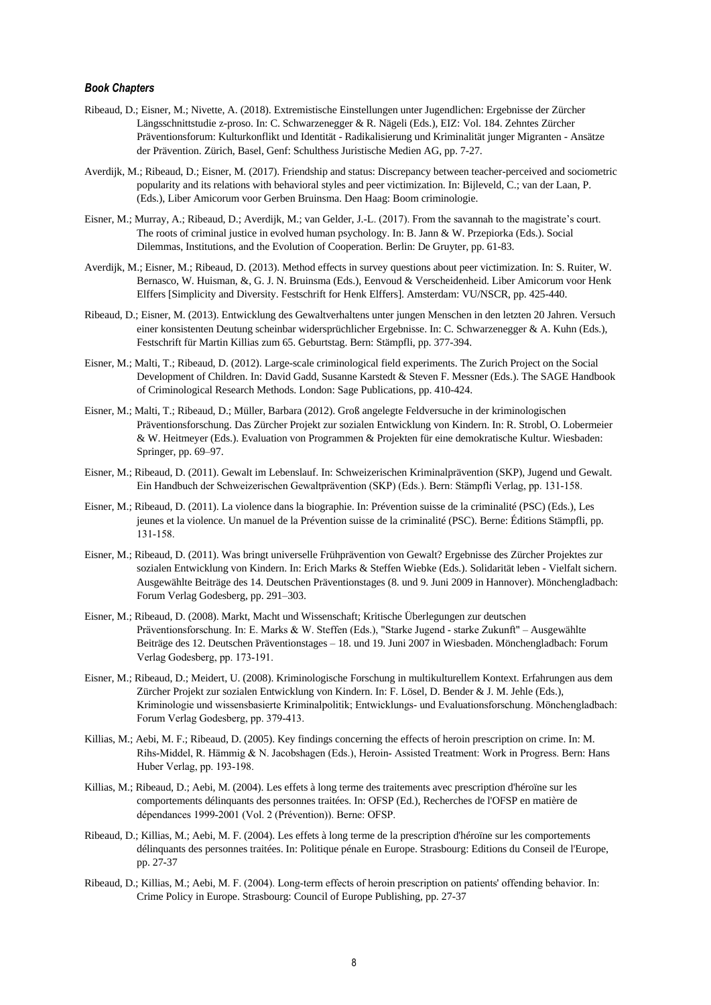# *Book Chapters*

- Ribeaud, D.; Eisner, M.; Nivette, A. (2018). Extremistische Einstellungen unter Jugendlichen: Ergebnisse der Zürcher Längsschnittstudie z-proso. In: C. Schwarzenegger & R. Nägeli (Eds.), EIZ: Vol. 184. Zehntes Zürcher Präventionsforum: Kulturkonflikt und Identität - Radikalisierung und Kriminalität junger Migranten - Ansätze der Prävention. Zürich, Basel, Genf: Schulthess Juristische Medien AG, pp. 7-27.
- Averdijk, M.; Ribeaud, D.; Eisner, M. (2017). Friendship and status: Discrepancy between teacher-perceived and sociometric popularity and its relations with behavioral styles and peer victimization. In: Bijleveld, C.; van der Laan, P. (Eds.), Liber Amicorum voor Gerben Bruinsma. Den Haag: Boom criminologie.
- Eisner, M.; Murray, A.; Ribeaud, D.; Averdijk, M.; van Gelder, J.-L. (2017). From the savannah to the magistrate's court. The roots of criminal justice in evolved human psychology. In: B. Jann & W. Przepiorka (Eds.). Social Dilemmas, Institutions, and the Evolution of Cooperation. Berlin: De Gruyter, pp. 61-83.
- Averdijk, M.; Eisner, M.; Ribeaud, D. (2013). Method effects in survey questions about peer victimization. In: S. Ruiter, W. Bernasco, W. Huisman, &, G. J. N. Bruinsma (Eds.), Eenvoud & Verscheidenheid. Liber Amicorum voor Henk Elffers [Simplicity and Diversity. Festschrift for Henk Elffers]. Amsterdam: VU/NSCR, pp. 425-440.
- Ribeaud, D.; Eisner, M. (2013). Entwicklung des Gewaltverhaltens unter jungen Menschen in den letzten 20 Jahren. Versuch einer konsistenten Deutung scheinbar widersprüchlicher Ergebnisse. In: C. Schwarzenegger & A. Kuhn (Eds.), Festschrift für Martin Killias zum 65. Geburtstag. Bern: Stämpfli, pp. 377-394.
- Eisner, M.; Malti, T.; Ribeaud, D. (2012). Large-scale criminological field experiments. The Zurich Project on the Social Development of Children. In: David Gadd, Susanne Karstedt & Steven F. Messner (Eds.). The SAGE Handbook of Criminological Research Methods. London: Sage Publications, pp. 410-424.
- Eisner, M.; Malti, T.; Ribeaud, D.; Müller, Barbara (2012). Groß angelegte Feldversuche in der kriminologischen Präventionsforschung. Das Zürcher Projekt zur sozialen Entwicklung von Kindern. In: R. Strobl, O. Lobermeier & W. Heitmeyer (Eds.). Evaluation von Programmen & Projekten für eine demokratische Kultur. Wiesbaden: Springer, pp. 69–97.
- Eisner, M.; Ribeaud, D. (2011). Gewalt im Lebenslauf. In: Schweizerischen Kriminalprävention (SKP), Jugend und Gewalt. Ein Handbuch der Schweizerischen Gewaltprävention (SKP) (Eds.). Bern: Stämpfli Verlag, pp. 131‐158.
- Eisner, M.; Ribeaud, D. (2011). La violence dans la biographie. In: Prévention suisse de la criminalité (PSC) (Eds.), Les jeunes et la violence. Un manuel de la Prévention suisse de la criminalité (PSC). Berne: Éditions Stämpfli, pp. 131‐158.
- Eisner, M.; Ribeaud, D. (2011). Was bringt universelle Frühprävention von Gewalt? Ergebnisse des Zürcher Projektes zur sozialen Entwicklung von Kindern. In: Erich Marks & Steffen Wiebke (Eds.). Solidarität leben - Vielfalt sichern. Ausgewählte Beiträge des 14. Deutschen Präventionstages (8. und 9. Juni 2009 in Hannover). Mönchengladbach: Forum Verlag Godesberg, pp. 291–303.
- Eisner, M.; Ribeaud, D. (2008). Markt, Macht und Wissenschaft; Kritische Überlegungen zur deutschen Präventionsforschung. In: E. Marks & W. Steffen (Eds.), "Starke Jugend ‐ starke Zukunft" – Ausgewählte Beiträge des 12. Deutschen Präventionstages – 18. und 19. Juni 2007 in Wiesbaden. Mönchengladbach: Forum Verlag Godesberg, pp. 173‐191.
- Eisner, M.; Ribeaud, D.; Meidert, U. (2008). Kriminologische Forschung in multikulturellem Kontext. Erfahrungen aus dem Zürcher Projekt zur sozialen Entwicklung von Kindern. In: F. Lösel, D. Bender & J. M. Jehle (Eds.), Kriminologie und wissensbasierte Kriminalpolitik; Entwicklungs‐ und Evaluationsforschung. Mönchengladbach: Forum Verlag Godesberg, pp. 379‐413.
- Killias, M.; Aebi, M. F.; Ribeaud, D. (2005). Key findings concerning the effects of heroin prescription on crime. In: M. Rihs‐Middel, R. Hämmig & N. Jacobshagen (Eds.), Heroin‐ Assisted Treatment: Work in Progress. Bern: Hans Huber Verlag, pp. 193‐198.
- Killias, M.; Ribeaud, D.; Aebi, M. (2004). Les effets à long terme des traitements avec prescription d'héroïne sur les comportements délinquants des personnes traitées. In: OFSP (Ed.), Recherches de l'OFSP en matière de dépendances 1999‐2001 (Vol. 2 (Prévention)). Berne: OFSP.
- Ribeaud, D.; Killias, M.; Aebi, M. F. (2004). Les effets à long terme de la prescription d'héroïne sur les comportements délinquants des personnes traitées. In: Politique pénale en Europe. Strasbourg: Editions du Conseil de l'Europe, pp. 27-37
- Ribeaud, D.; Killias, M.; Aebi, M. F. (2004). Long‐term effects of heroin prescription on patients' offending behavior. In: Crime Policy in Europe. Strasbourg: Council of Europe Publishing, pp. 27-37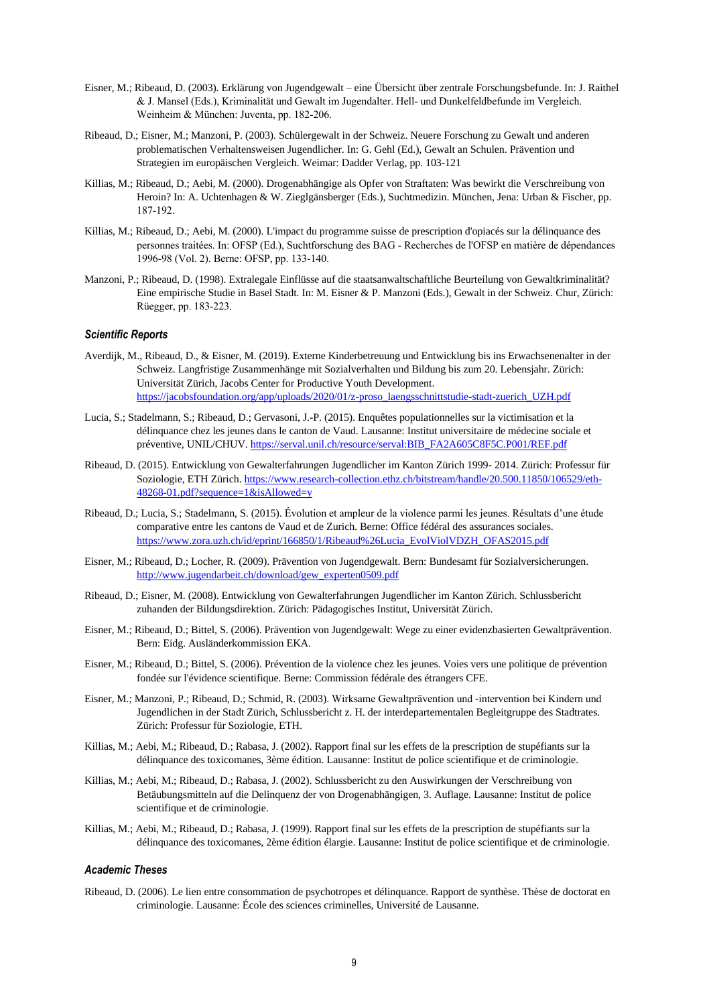- Eisner, M.; Ribeaud, D. (2003). Erklärung von Jugendgewalt eine Übersicht über zentrale Forschungsbefunde. In: J. Raithel & J. Mansel (Eds.), Kriminalität und Gewalt im Jugendalter. Hell‐ und Dunkelfeldbefunde im Vergleich. Weinheim & München: Juventa, pp. 182‐206.
- Ribeaud, D.; Eisner, M.; Manzoni, P. (2003). Schülergewalt in der Schweiz. Neuere Forschung zu Gewalt und anderen problematischen Verhaltensweisen Jugendlicher. In: G. Gehl (Ed.), Gewalt an Schulen. Prävention und Strategien im europäischen Vergleich. Weimar: Dadder Verlag, pp. 103-121
- Killias, M.; Ribeaud, D.; Aebi, M. (2000). Drogenabhängige als Opfer von Straftaten: Was bewirkt die Verschreibung von Heroin? In: A. Uchtenhagen & W. Zieglgänsberger (Eds.), Suchtmedizin. München, Jena: Urban & Fischer, pp. 187‐192.
- Killias, M.; Ribeaud, D.; Aebi, M. (2000). L'impact du programme suisse de prescription d'opiacés sur la délinquance des personnes traitées. In: OFSP (Ed.), Suchtforschung des BAG ‐ Recherches de l'OFSP en matière de dépendances 1996‐98 (Vol. 2). Berne: OFSP, pp. 133‐140.
- Manzoni, P.; Ribeaud, D. (1998). Extralegale Einflüsse auf die staatsanwaltschaftliche Beurteilung von Gewaltkriminalität? Eine empirische Studie in Basel Stadt. In: M. Eisner & P. Manzoni (Eds.), Gewalt in der Schweiz. Chur, Zürich: Rüegger, pp. 183‐223.

# *Scientific Reports*

- Averdijk, M., Ribeaud, D., & Eisner, M. (2019). Externe Kinderbetreuung und Entwicklung bis ins Erwachsenenalter in der Schweiz. Langfristige Zusammenhänge mit Sozialverhalten und Bildung bis zum 20. Lebensjahr. Zürich: Universität Zürich, Jacobs Center for Productive Youth Development. [https://jacobsfoundation.org/app/uploads/2020/01/z-proso\\_laengsschnittstudie-stadt-zuerich\\_UZH.pdf](https://jacobsfoundation.org/app/uploads/2020/01/z-proso_laengsschnittstudie-stadt-zuerich_UZH.pdf)
- Lucia, S.; Stadelmann, S.; Ribeaud, D.; Gervasoni, J.-P. (2015). Enquêtes populationnelles sur la victimisation et la délinquance chez les jeunes dans le canton de Vaud. Lausanne: Institut universitaire de médecine sociale et préventive, UNIL/CHUV. [https://serval.unil.ch/resource/serval:BIB\\_FA2A605C8F5C.P001/REF.pdf](https://serval.unil.ch/resource/serval:BIB_FA2A605C8F5C.P001/REF.pdf)
- Ribeaud, D. (2015). Entwicklung von Gewalterfahrungen Jugendlicher im Kanton Zürich 1999- 2014. Zürich: Professur für Soziologie, ETH Zürich. [https://www.research-collection.ethz.ch/bitstream/handle/20.500.11850/106529/eth-](https://www.research-collection.ethz.ch/bitstream/handle/20.500.11850/106529/eth-48268-01.pdf?sequence=1&isAllowed=y)[48268-01.pdf?sequence=1&isAllowed=y](https://www.research-collection.ethz.ch/bitstream/handle/20.500.11850/106529/eth-48268-01.pdf?sequence=1&isAllowed=y)
- Ribeaud, D.; Lucia, S.; Stadelmann, S. (2015). Évolution et ampleur de la violence parmi les jeunes. Résultats d'une étude comparative entre les cantons de Vaud et de Zurich. Berne: Office fédéral des assurances sociales. [https://www.zora.uzh.ch/id/eprint/166850/1/Ribeaud%26Lucia\\_EvolViolVDZH\\_OFAS2015.pdf](https://www.zora.uzh.ch/id/eprint/166850/1/Ribeaud%26Lucia_EvolViolVDZH_OFAS2015.pdf)
- Eisner, M.; Ribeaud, D.; Locher, R. (2009). Prävention von Jugendgewalt. Bern: Bundesamt für Sozialversicherungen. [http://www.jugendarbeit.ch/download/gew\\_experten0509.pdf](http://www.jugendarbeit.ch/download/gew_experten0509.pdf)
- Ribeaud, D.; Eisner, M. (2008). Entwicklung von Gewalterfahrungen Jugendlicher im Kanton Zürich. Schlussbericht zuhanden der Bildungsdirektion. Zürich: Pädagogisches Institut, Universität Zürich.
- Eisner, M.; Ribeaud, D.; Bittel, S. (2006). Prävention von Jugendgewalt: Wege zu einer evidenzbasierten Gewaltprävention. Bern: Eidg. Ausländerkommission EKA.
- Eisner, M.; Ribeaud, D.; Bittel, S. (2006). Prévention de la violence chez les jeunes. Voies vers une politique de prévention fondée sur l'évidence scientifique. Berne: Commission fédérale des étrangers CFE.
- Eisner, M.; Manzoni, P.; Ribeaud, D.; Schmid, R. (2003). Wirksame Gewaltprävention und ‐intervention bei Kindern und Jugendlichen in der Stadt Zürich, Schlussbericht z. H. der interdepartementalen Begleitgruppe des Stadtrates. Zürich: Professur für Soziologie, ETH.
- Killias, M.; Aebi, M.; Ribeaud, D.; Rabasa, J. (2002). Rapport final sur les effets de la prescription de stupéfiants sur la délinquance des toxicomanes, 3ème édition. Lausanne: Institut de police scientifique et de criminologie.
- Killias, M.; Aebi, M.; Ribeaud, D.; Rabasa, J. (2002). Schlussbericht zu den Auswirkungen der Verschreibung von Betäubungsmitteln auf die Delinquenz der von Drogenabhängigen, 3. Auflage. Lausanne: Institut de police scientifique et de criminologie.
- Killias, M.; Aebi, M.; Ribeaud, D.; Rabasa, J. (1999). Rapport final sur les effets de la prescription de stupéfiants sur la délinquance des toxicomanes, 2ème édition élargie. Lausanne: Institut de police scientifique et de criminologie.

#### *Academic Theses*

Ribeaud, D. (2006). Le lien entre consommation de psychotropes et délinquance. Rapport de synthèse. Thèse de doctorat en criminologie. Lausanne: École des sciences criminelles, Université de Lausanne.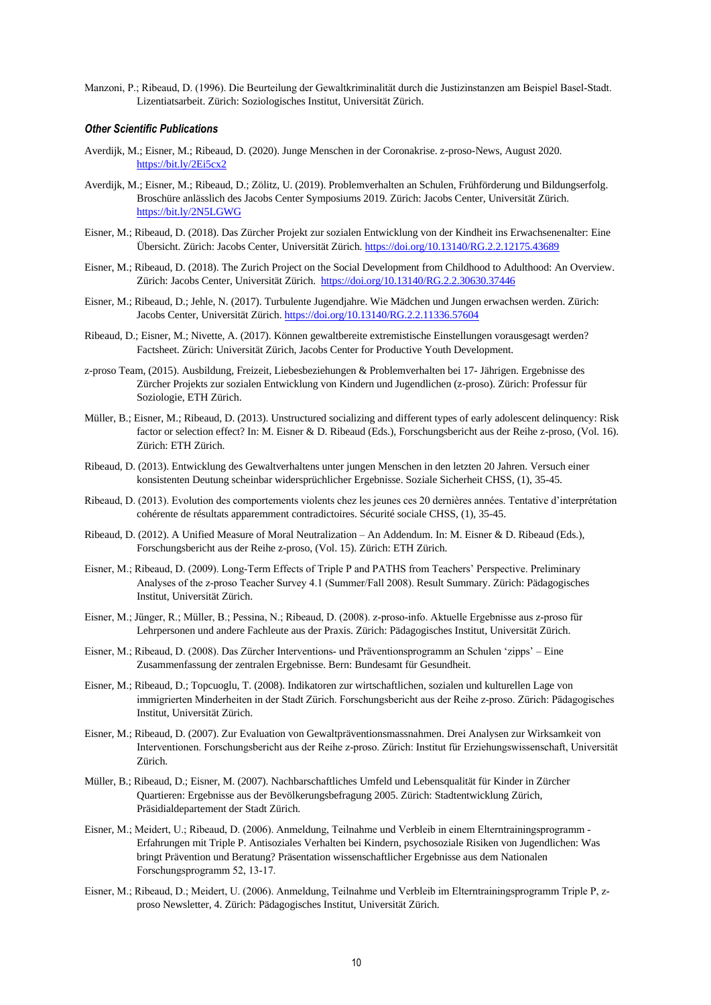Manzoni, P.; Ribeaud, D. (1996). Die Beurteilung der Gewaltkriminalität durch die Justizinstanzen am Beispiel Basel‐Stadt. Lizentiatsarbeit. Zürich: Soziologisches Institut, Universität Zürich.

## *Other Scientific Publications*

- Averdijk, M.; Eisner, M.; Ribeaud, D. (2020). Junge Menschen in der Coronakrise. z-proso-News, August 2020. <https://bit.ly/2Ei5cx2>
- Averdijk, M.; Eisner, M.; Ribeaud, D.; Zölitz, U. (2019). Problemverhalten an Schulen, Frühförderung und Bildungserfolg. Broschüre anlässlich des Jacobs Center Symposiums 2019. Zürich: Jacobs Center, Universität Zürich. <https://bit.ly/2N5LGWG>
- Eisner, M.; Ribeaud, D. (2018). Das Zürcher Projekt zur sozialen Entwicklung von der Kindheit ins Erwachsenenalter: Eine Übersicht. Zürich: Jacobs Center, Universität Zürich[. https://doi.org/10.13140/RG.2.2.12175.43689](https://doi.org/10.13140/RG.2.2.12175.43689)
- Eisner, M.; Ribeaud, D. (2018). The Zurich Project on the Social Development from Childhood to Adulthood: An Overview. Zürich: Jacobs Center, Universität Zürich. <https://doi.org/10.13140/RG.2.2.30630.37446>
- Eisner, M.; Ribeaud, D.; Jehle, N. (2017). Turbulente Jugendjahre. Wie Mädchen und Jungen erwachsen werden. Zürich: Jacobs Center, Universität Zürich[. https://doi.org/10.13140/RG.2.2.11336.57604](https://doi.org/10.13140/RG.2.2.11336.57604)
- Ribeaud, D.; Eisner, M.; Nivette, A. (2017). Können gewaltbereite extremistische Einstellungen vorausgesagt werden? Factsheet. Zürich: Universität Zürich, Jacobs Center for Productive Youth Development.
- z-proso Team, (2015). Ausbildung, Freizeit, Liebesbeziehungen & Problemverhalten bei 17- Jährigen. Ergebnisse des Zürcher Projekts zur sozialen Entwicklung von Kindern und Jugendlichen (z-proso). Zürich: Professur für Soziologie, ETH Zürich.
- Müller, B.; Eisner, M.; Ribeaud, D. (2013). Unstructured socializing and different types of early adolescent delinquency: Risk factor or selection effect? In: M. Eisner & D. Ribeaud (Eds.), Forschungsbericht aus der Reihe z-proso, (Vol. 16). Zürich: ETH Zürich.
- Ribeaud, D. (2013). Entwicklung des Gewaltverhaltens unter jungen Menschen in den letzten 20 Jahren. Versuch einer konsistenten Deutung scheinbar widersprüchlicher Ergebnisse. Soziale Sicherheit CHSS, (1), 35-45.
- Ribeaud, D. (2013). Evolution des comportements violents chez les jeunes ces 20 dernières années. Tentative d'interprétation cohérente de résultats apparemment contradictoires. Sécurité sociale CHSS, (1), 35-45.
- Ribeaud, D. (2012). A Unified Measure of Moral Neutralization An Addendum. In: M. Eisner & D. Ribeaud (Eds.), Forschungsbericht aus der Reihe z-proso, (Vol. 15). Zürich: ETH Zürich.
- Eisner, M.; Ribeaud, D. (2009). Long‐Term Effects of Triple P and PATHS from Teachers' Perspective. Preliminary Analyses of the z‐proso Teacher Survey 4.1 (Summer/Fall 2008). Result Summary. Zürich: Pädagogisches Institut, Universität Zürich.
- Eisner, M.; Jünger, R.; Müller, B.; Pessina, N.; Ribeaud, D. (2008). z‐proso‐info. Aktuelle Ergebnisse aus z‐proso für Lehrpersonen und andere Fachleute aus der Praxis. Zürich: Pädagogisches Institut, Universität Zürich.
- Eisner, M.; Ribeaud, D. (2008). Das Zürcher Interventions- und Präventionsprogramm an Schulen 'zipps' Eine Zusammenfassung der zentralen Ergebnisse. Bern: Bundesamt für Gesundheit.
- Eisner, M.; Ribeaud, D.; Topcuoglu, T. (2008). Indikatoren zur wirtschaftlichen, sozialen und kulturellen Lage von immigrierten Minderheiten in der Stadt Zürich. Forschungsbericht aus der Reihe z-proso. Zürich: Pädagogisches Institut, Universität Zürich.
- Eisner, M.; Ribeaud, D. (2007). Zur Evaluation von Gewaltpräventionsmassnahmen. Drei Analysen zur Wirksamkeit von Interventionen. Forschungsbericht aus der Reihe z‐proso. Zürich: Institut für Erziehungswissenschaft, Universität Zürich.
- Müller, B.; Ribeaud, D.; Eisner, M. (2007). Nachbarschaftliches Umfeld und Lebensqualität für Kinder in Zürcher Quartieren: Ergebnisse aus der Bevölkerungsbefragung 2005. Zürich: Stadtentwicklung Zürich, Präsidialdepartement der Stadt Zürich.
- Eisner, M.; Meidert, U.; Ribeaud, D. (2006). Anmeldung, Teilnahme und Verbleib in einem Elterntrainingsprogramm ‐ Erfahrungen mit Triple P. Antisoziales Verhalten bei Kindern, psychosoziale Risiken von Jugendlichen: Was bringt Prävention und Beratung? Präsentation wissenschaftlicher Ergebnisse aus dem Nationalen Forschungsprogramm 52, 13‐17.
- Eisner, M.; Ribeaud, D.; Meidert, U. (2006). Anmeldung, Teilnahme und Verbleib im Elterntrainingsprogramm Triple P, zproso Newsletter, 4. Zürich: Pädagogisches Institut, Universität Zürich.